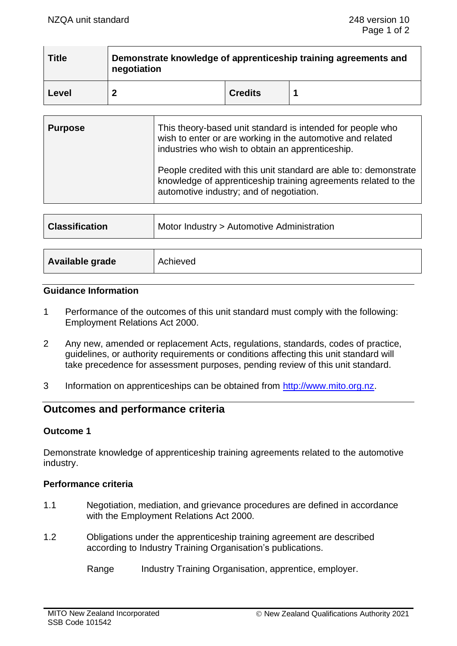| <b>Title</b> | Demonstrate knowledge of apprenticeship training agreements and<br>negotiation |                |  |  |
|--------------|--------------------------------------------------------------------------------|----------------|--|--|
| Level        |                                                                                | <b>Credits</b> |  |  |

| <b>Purpose</b> | This theory-based unit standard is intended for people who<br>wish to enter or are working in the automotive and related<br>industries who wish to obtain an apprenticeship.   |  |
|----------------|--------------------------------------------------------------------------------------------------------------------------------------------------------------------------------|--|
|                | People credited with this unit standard are able to: demonstrate<br>knowledge of apprenticeship training agreements related to the<br>automotive industry; and of negotiation. |  |

| <b>Classification</b> | Motor Industry > Automotive Administration |
|-----------------------|--------------------------------------------|
|                       |                                            |
| Available grade       | Achieved                                   |

### **Guidance Information**

- 1 Performance of the outcomes of this unit standard must comply with the following: Employment Relations Act 2000.
- 2 Any new, amended or replacement Acts, regulations, standards, codes of practice, guidelines, or authority requirements or conditions affecting this unit standard will take precedence for assessment purposes, pending review of this unit standard.
- 3 Information on apprenticeships can be obtained from [http://www.mito.org.nz.](http://www.mito.org.nz/)

# **Outcomes and performance criteria**

## **Outcome 1**

Demonstrate knowledge of apprenticeship training agreements related to the automotive industry.

## **Performance criteria**

- 1.1 Negotiation, mediation, and grievance procedures are defined in accordance with the Employment Relations Act 2000.
- 1.2 Obligations under the apprenticeship training agreement are described according to Industry Training Organisation's publications.

Range Industry Training Organisation, apprentice, employer.